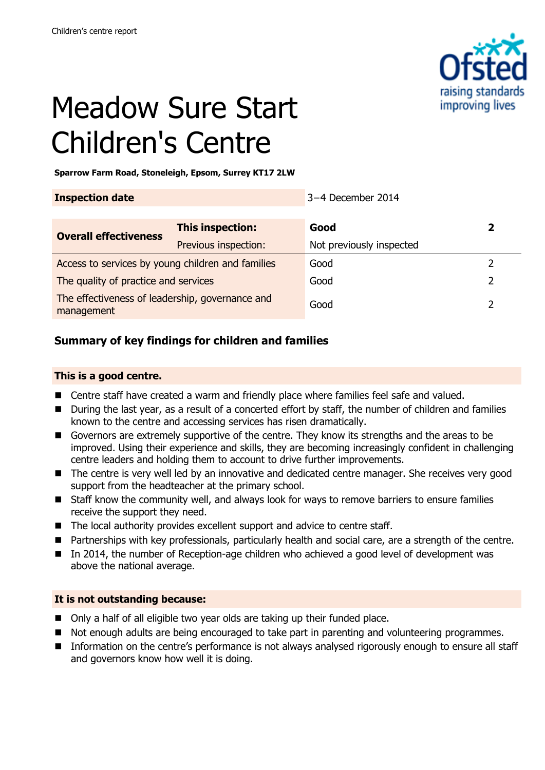

# Meadow Sure Start Children's Centre

**Sparrow Farm Road, Stoneleigh, Epsom, Surrey KT17 2LW**

| <b>Inspection date</b>                                        |                      | 3-4 December 2014        |   |
|---------------------------------------------------------------|----------------------|--------------------------|---|
| <b>Overall effectiveness</b>                                  | This inspection:     | Good                     | 2 |
|                                                               | Previous inspection: | Not previously inspected |   |
| Access to services by young children and families             |                      | Good                     |   |
| The quality of practice and services                          |                      | Good                     |   |
| The effectiveness of leadership, governance and<br>management |                      | Good                     |   |

## **Summary of key findings for children and families**

#### **This is a good centre.**

- Centre staff have created a warm and friendly place where families feel safe and valued.
- During the last year, as a result of a concerted effort by staff, the number of children and families known to the centre and accessing services has risen dramatically.
- Governors are extremely supportive of the centre. They know its strengths and the areas to be improved. Using their experience and skills, they are becoming increasingly confident in challenging centre leaders and holding them to account to drive further improvements.
- The centre is very well led by an innovative and dedicated centre manager. She receives very good support from the headteacher at the primary school.
- Staff know the community well, and always look for ways to remove barriers to ensure families receive the support they need.
- The local authority provides excellent support and advice to centre staff.
- Partnerships with key professionals, particularly health and social care, are a strength of the centre.
- In 2014, the number of Reception-age children who achieved a good level of development was above the national average.

#### **It is not outstanding because:**

- Only a half of all eligible two year olds are taking up their funded place.
- Not enough adults are being encouraged to take part in parenting and volunteering programmes.
- **Information on the centre's performance is not always analysed rigorously enough to ensure all staff** and governors know how well it is doing.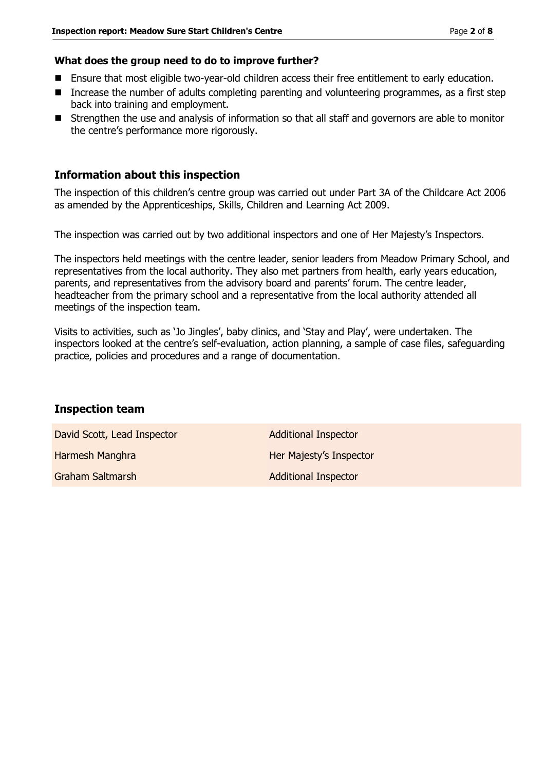#### **What does the group need to do to improve further?**

- **E** Ensure that most eligible two-year-old children access their free entitlement to early education.
- Increase the number of adults completing parenting and volunteering programmes, as a first step back into training and employment.
- Strengthen the use and analysis of information so that all staff and governors are able to monitor the centre's performance more rigorously.

#### **Information about this inspection**

The inspection of this children's centre group was carried out under Part 3A of the Childcare Act 2006 as amended by the Apprenticeships, Skills, Children and Learning Act 2009.

The inspection was carried out by two additional inspectors and one of Her Majesty's Inspectors.

The inspectors held meetings with the centre leader, senior leaders from Meadow Primary School, and representatives from the local authority. They also met partners from health, early years education, parents, and representatives from the advisory board and parents' forum. The centre leader, headteacher from the primary school and a representative from the local authority attended all meetings of the inspection team.

Visits to activities, such as 'Jo Jingles', baby clinics, and 'Stay and Play', were undertaken. The inspectors looked at the centre's self-evaluation, action planning, a sample of case files, safeguarding practice, policies and procedures and a range of documentation.

#### **Inspection team**

David Scott, Lead Inspector **Additional Inspector** 

Graham Saltmarsh **Additional Inspector** Additional Inspector

Harmesh Manghra **Her Majesty's Inspector**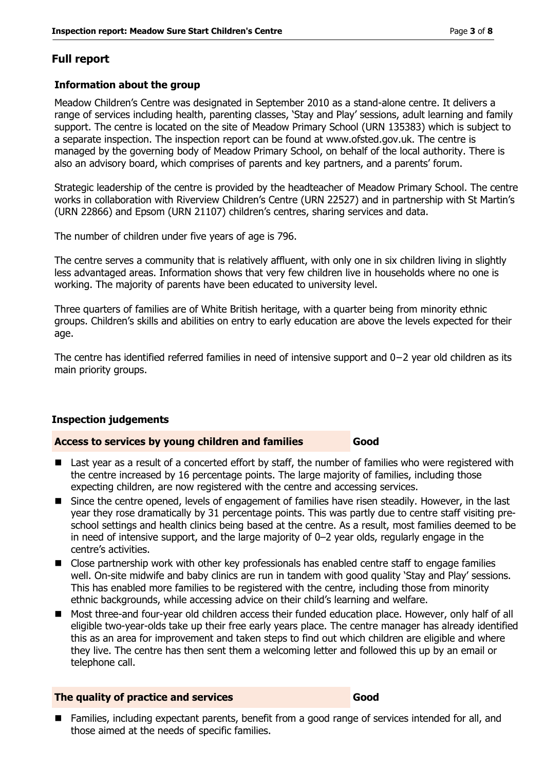### **Full report**

#### **Information about the group**

Meadow Children's Centre was designated in September 2010 as a stand-alone centre. It delivers a range of services including health, parenting classes, 'Stay and Play' sessions, adult learning and family support. The centre is located on the site of Meadow Primary School (URN 135383) which is subject to a separate inspection. The inspection report can be found at www.ofsted.gov.uk. The centre is managed by the governing body of Meadow Primary School, on behalf of the local authority. There is also an advisory board, which comprises of parents and key partners, and a parents' forum.

Strategic leadership of the centre is provided by the headteacher of Meadow Primary School. The centre works in collaboration with Riverview Children's Centre (URN 22527) and in partnership with St Martin's (URN 22866) and Epsom (URN 21107) children's centres, sharing services and data.

The number of children under five years of age is 796.

The centre serves a community that is relatively affluent, with only one in six children living in slightly less advantaged areas. Information shows that very few children live in households where no one is working. The majority of parents have been educated to university level.

Three quarters of families are of White British heritage, with a quarter being from minority ethnic groups. Children's skills and abilities on entry to early education are above the levels expected for their age.

The centre has identified referred families in need of intensive support and 0−2 year old children as its main priority groups.

#### **Inspection judgements**

#### **Access to services by young children and families Good**

- Last year as a result of a concerted effort by staff, the number of families who were registered with the centre increased by 16 percentage points. The large majority of families, including those expecting children, are now registered with the centre and accessing services.
- Since the centre opened, levels of engagement of families have risen steadily. However, in the last year they rose dramatically by 31 percentage points. This was partly due to centre staff visiting preschool settings and health clinics being based at the centre. As a result, most families deemed to be in need of intensive support, and the large majority of 0–2 year olds, regularly engage in the centre's activities.
- Close partnership work with other key professionals has enabled centre staff to engage families well. On-site midwife and baby clinics are run in tandem with good quality 'Stay and Play' sessions. This has enabled more families to be registered with the centre, including those from minority ethnic backgrounds, while accessing advice on their child's learning and welfare.
- Most three-and four-year old children access their funded education place. However, only half of all eligible two-year-olds take up their free early years place. The centre manager has already identified this as an area for improvement and taken steps to find out which children are eligible and where they live. The centre has then sent them a welcoming letter and followed this up by an email or telephone call.

#### **The quality of practice and services Good**

 Families, including expectant parents, benefit from a good range of services intended for all, and those aimed at the needs of specific families.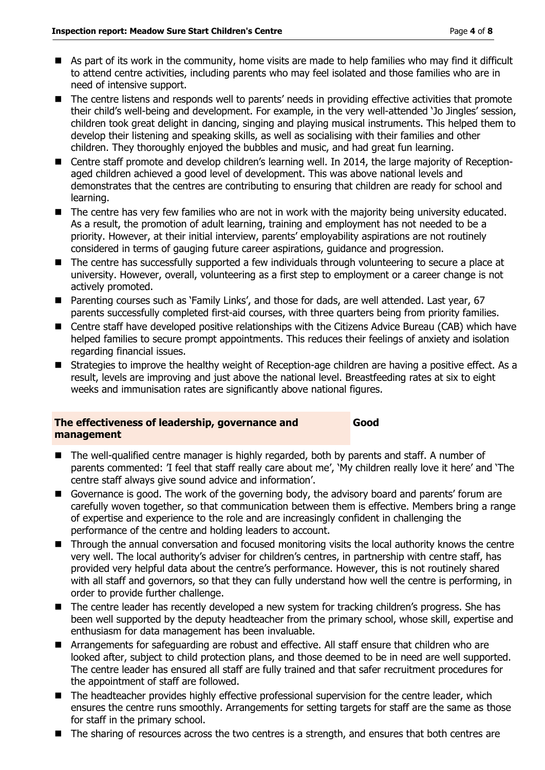- As part of its work in the community, home visits are made to help families who may find it difficult to attend centre activities, including parents who may feel isolated and those families who are in need of intensive support.
- The centre listens and responds well to parents' needs in providing effective activities that promote their child's well-being and development. For example, in the very well-attended 'Jo Jingles' session, children took great delight in dancing, singing and playing musical instruments. This helped them to develop their listening and speaking skills, as well as socialising with their families and other children. They thoroughly enjoyed the bubbles and music, and had great fun learning.
- Centre staff promote and develop children's learning well. In 2014, the large majority of Receptionaged children achieved a good level of development. This was above national levels and demonstrates that the centres are contributing to ensuring that children are ready for school and learning.
- The centre has very few families who are not in work with the majority being university educated. As a result, the promotion of adult learning, training and employment has not needed to be a priority. However, at their initial interview, parents' employability aspirations are not routinely considered in terms of gauging future career aspirations, guidance and progression.
- The centre has successfully supported a few individuals through volunteering to secure a place at university. However, overall, volunteering as a first step to employment or a career change is not actively promoted.
- Parenting courses such as `Family Links', and those for dads, are well attended. Last year, 67 parents successfully completed first-aid courses, with three quarters being from priority families.
- Centre staff have developed positive relationships with the Citizens Advice Bureau (CAB) which have helped families to secure prompt appointments. This reduces their feelings of anxiety and isolation regarding financial issues.
- Strategies to improve the healthy weight of Reception-age children are having a positive effect. As a result, levels are improving and just above the national level. Breastfeeding rates at six to eight weeks and immunisation rates are significantly above national figures.

#### **The effectiveness of leadership, governance and management**

**Good**

- The well-qualified centre manager is highly regarded, both by parents and staff. A number of parents commented: 'I feel that staff really care about me', 'My children really love it here' and 'The centre staff always give sound advice and information'.
- Governance is good. The work of the governing body, the advisory board and parents' forum are carefully woven together, so that communication between them is effective. Members bring a range of expertise and experience to the role and are increasingly confident in challenging the performance of the centre and holding leaders to account.
- Through the annual conversation and focused monitoring visits the local authority knows the centre very well. The local authority's adviser for children's centres, in partnership with centre staff, has provided very helpful data about the centre's performance. However, this is not routinely shared with all staff and governors, so that they can fully understand how well the centre is performing, in order to provide further challenge.
- The centre leader has recently developed a new system for tracking children's progress. She has been well supported by the deputy headteacher from the primary school, whose skill, expertise and enthusiasm for data management has been invaluable.
- **E** Arrangements for safeguarding are robust and effective. All staff ensure that children who are looked after, subject to child protection plans, and those deemed to be in need are well supported. The centre leader has ensured all staff are fully trained and that safer recruitment procedures for the appointment of staff are followed.
- The headteacher provides highly effective professional supervision for the centre leader, which ensures the centre runs smoothly. Arrangements for setting targets for staff are the same as those for staff in the primary school.
- The sharing of resources across the two centres is a strength, and ensures that both centres are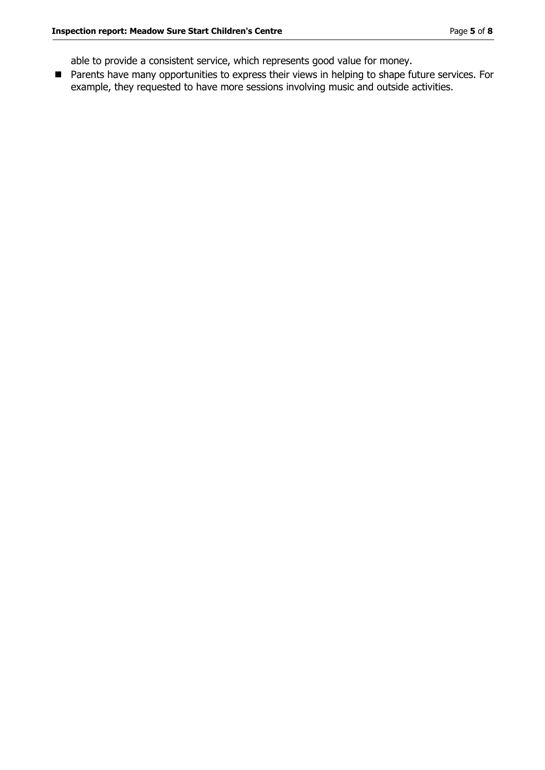able to provide a consistent service, which represents good value for money.

**Parents have many opportunities to express their views in helping to shape future services. For** example, they requested to have more sessions involving music and outside activities.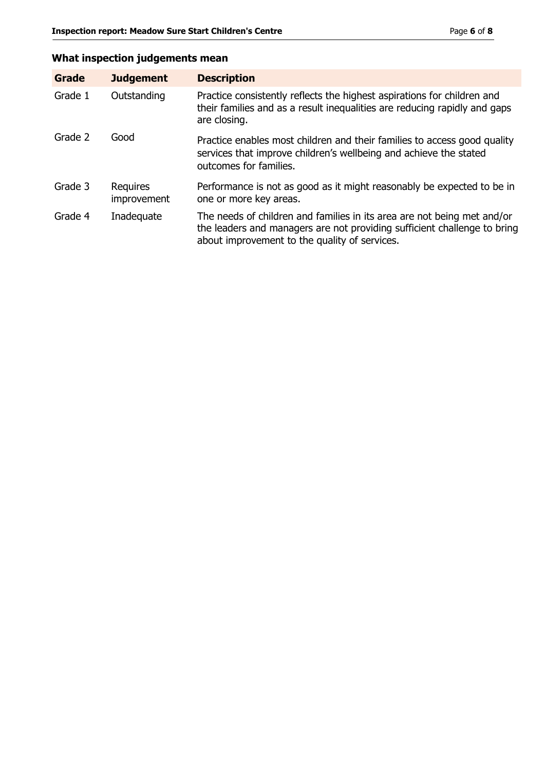# **What inspection judgements mean**

| Grade   | <b>Judgement</b>               | <b>Description</b>                                                                                                                                                                                   |
|---------|--------------------------------|------------------------------------------------------------------------------------------------------------------------------------------------------------------------------------------------------|
| Grade 1 | Outstanding                    | Practice consistently reflects the highest aspirations for children and<br>their families and as a result inequalities are reducing rapidly and gaps<br>are closing.                                 |
| Grade 2 | Good                           | Practice enables most children and their families to access good quality<br>services that improve children's wellbeing and achieve the stated<br>outcomes for families.                              |
| Grade 3 | <b>Requires</b><br>improvement | Performance is not as good as it might reasonably be expected to be in<br>one or more key areas.                                                                                                     |
| Grade 4 | Inadequate                     | The needs of children and families in its area are not being met and/or<br>the leaders and managers are not providing sufficient challenge to bring<br>about improvement to the quality of services. |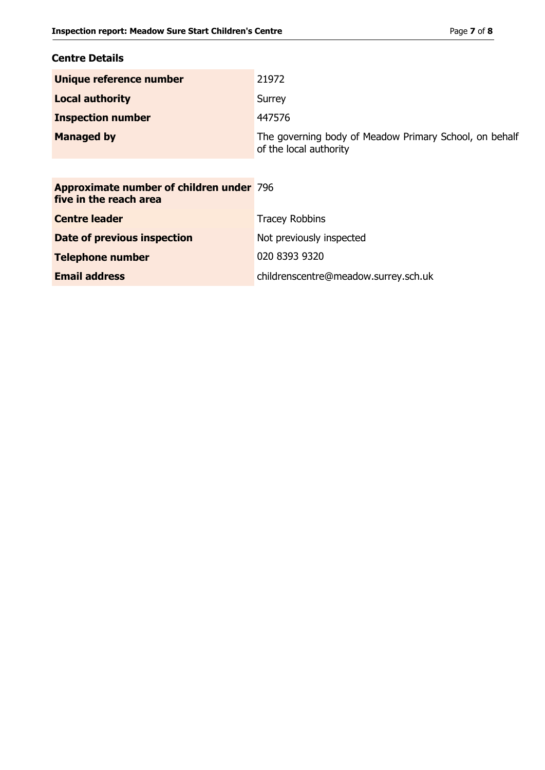| <b>Centre Details</b>                                                     |                                                                                  |
|---------------------------------------------------------------------------|----------------------------------------------------------------------------------|
| Unique reference number                                                   | 21972                                                                            |
| <b>Local authority</b>                                                    | Surrey                                                                           |
| <b>Inspection number</b>                                                  | 447576                                                                           |
| <b>Managed by</b>                                                         | The governing body of Meadow Primary School, on behalf<br>of the local authority |
|                                                                           |                                                                                  |
| <b>Approximate number of children under 796</b><br>five in the reach area |                                                                                  |
| <b>Centre leader</b>                                                      | <b>Tracey Robbins</b>                                                            |
| Date of previous inspection                                               | Not previously inspected                                                         |
| <b>Telephone number</b>                                                   | 020 8393 9320                                                                    |

**Email address** childrenscentre@meadow.surrey.sch.uk